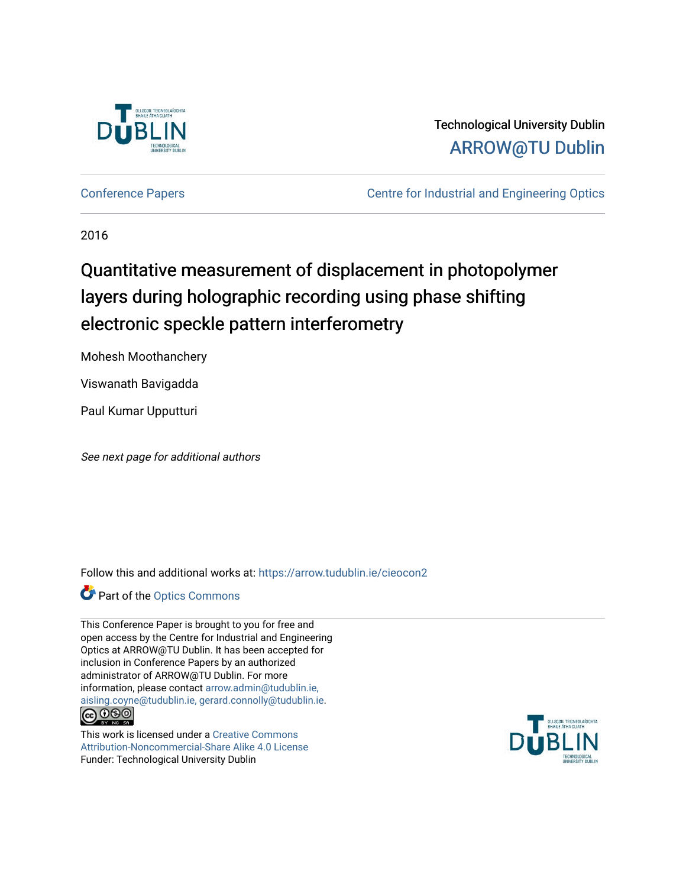

# Technological University Dublin [ARROW@TU Dublin](https://arrow.tudublin.ie/)

[Conference Papers](https://arrow.tudublin.ie/cieocon2) [Centre for Industrial and Engineering Optics](https://arrow.tudublin.ie/cieo) 

2016

# Quantitative measurement of displacement in photopolymer layers during holographic recording using phase shifting electronic speckle pattern interferometry

Mohesh Moothanchery

Viswanath Bavigadda

Paul Kumar Upputturi

See next page for additional authors

Follow this and additional works at: [https://arrow.tudublin.ie/cieocon2](https://arrow.tudublin.ie/cieocon2?utm_source=arrow.tudublin.ie%2Fcieocon2%2F42&utm_medium=PDF&utm_campaign=PDFCoverPages) 

**Part of the [Optics Commons](http://network.bepress.com/hgg/discipline/204?utm_source=arrow.tudublin.ie%2Fcieocon2%2F42&utm_medium=PDF&utm_campaign=PDFCoverPages)** 

This Conference Paper is brought to you for free and open access by the Centre for Industrial and Engineering Optics at ARROW@TU Dublin. It has been accepted for inclusion in Conference Papers by an authorized administrator of ARROW@TU Dublin. For more information, please contact [arrow.admin@tudublin.ie,](mailto:arrow.admin@tudublin.ie,%20aisling.coyne@tudublin.ie,%20gerard.connolly@tudublin.ie)  [aisling.coyne@tudublin.ie, gerard.connolly@tudublin.ie](mailto:arrow.admin@tudublin.ie,%20aisling.coyne@tudublin.ie,%20gerard.connolly@tudublin.ie).<br>**@@**@@

This work is licensed under a [Creative Commons](http://creativecommons.org/licenses/by-nc-sa/4.0/)

[Attribution-Noncommercial-Share Alike 4.0 License](http://creativecommons.org/licenses/by-nc-sa/4.0/) Funder: Technological University Dublin

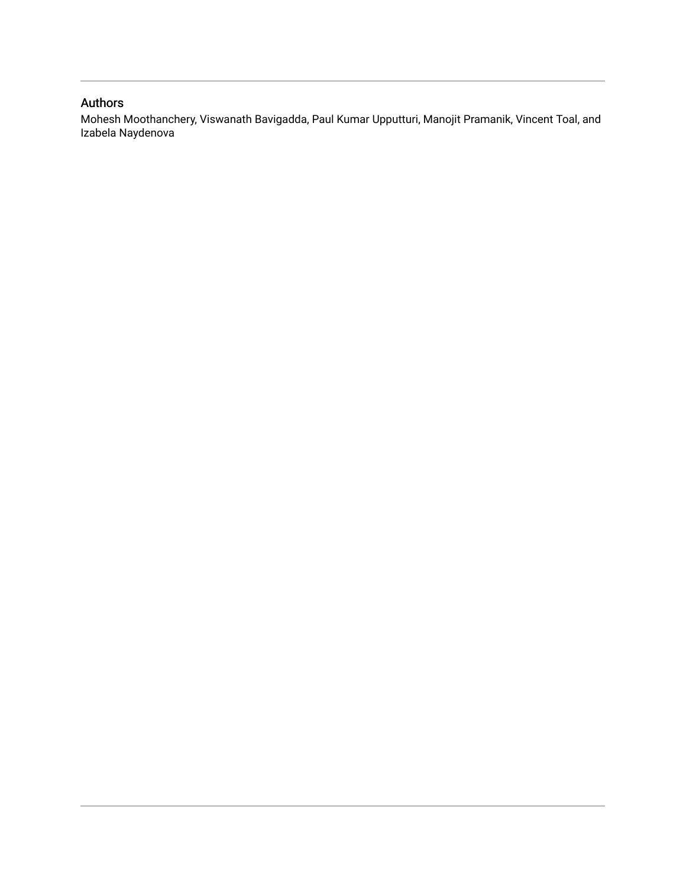# Authors

Mohesh Moothanchery, Viswanath Bavigadda, Paul Kumar Upputturi, Manojit Pramanik, Vincent Toal, and Izabela Naydenova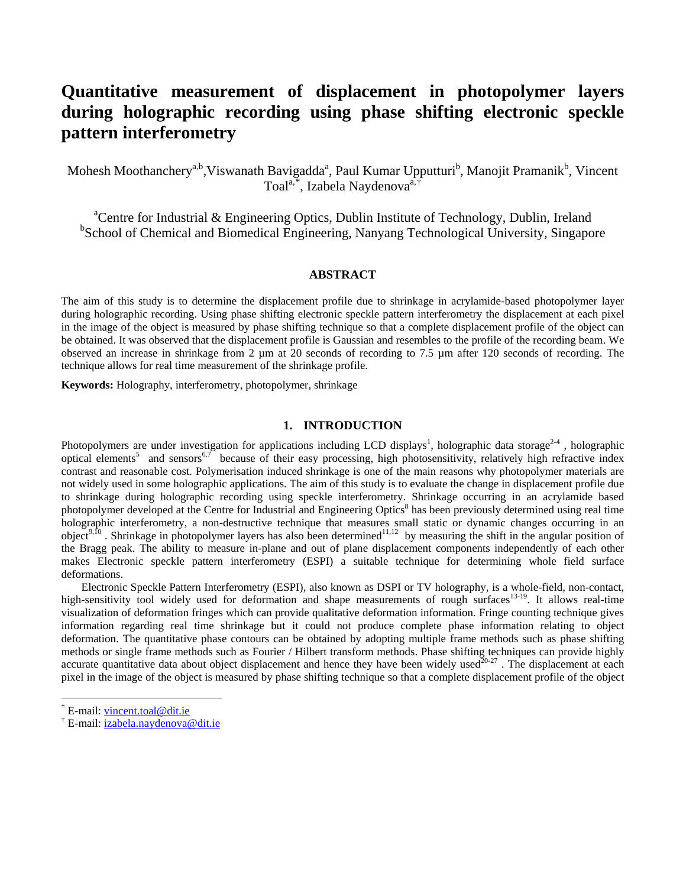# **Quantitative measurement of displacement in photopolymer layers during holographic recording using phase shifting electronic speckle pattern interferometry**

Mohesh Moothanchery<sup>a,b</sup>,Viswanath Bavigadda<sup>a</sup>, Paul Kumar Upputturi<sup>b</sup>, Manojit Pramanik<sup>b</sup>, Vincent Toal<sup>a,[\\*](#page-2-0)</sup>, Izabela Naydenova<sup>a,[†](#page-2-1)</sup>

<sup>a</sup>Centre for Industrial & Engineering Optics, Dublin Institute of Technology, Dublin, Ireland <sup>b</sup>School of Chemical and Biomedical Engineering, Nanyang Technological University, Singapore

#### **ABSTRACT**

The aim of this study is to determine the displacement profile due to shrinkage in acrylamide-based photopolymer layer during holographic recording. Using phase shifting electronic speckle pattern interferometry the displacement at each pixel in the image of the object is measured by phase shifting technique so that a complete displacement profile of the object can be obtained. It was observed that the displacement profile is Gaussian and resembles to the profile of the recording beam. We observed an increase in shrinkage from 2 µm at 20 seconds of recording to 7.5 µm after 120 seconds of recording. The technique allows for real time measurement of the shrinkage profile.

**Keywords:** Holography, interferometry, photopolymer, shrinkage

## **1. INTRODUCTION**

Photopolymers are under investigation for applications including LCD displays<sup>1</sup>, holographic data storage<sup>2-4</sup>, holographic optical elements<sup>5</sup> and sensors<sup>6,7</sup> because of their easy processing, high photosensitivity, relatively high refractive index contrast and reasonable cost. Polymerisation induced shrinkage is one of the main reasons why photopolymer materials are not widely used in some holographic applications. The aim of this study is to evaluate the change in displacement profile due to shrinkage during holographic recording using speckle interferometry. Shrinkage occurring in an acrylamide based photopolymer developed at the Centre for Industrial and Engineering Optics<sup>8</sup> has been previously determined using real time holographic interferometry, a non-destructive technique that measures small static or dynamic changes occurring in an object<sup>9,10</sup>. Shrinkage in photopolymer layers has also been determined<sup>11,12</sup> by measuring the shift in the angular position of the Bragg peak. The ability to measure in-plane and out of plane displacement components independently of each other makes Electronic speckle pattern interferometry (ESPI) a suitable technique for determining whole field surface deformations.

Electronic Speckle Pattern Interferometry (ESPI), also known as DSPI or TV holography, is a whole-field, non-contact, high-sensitivity tool widely used for deformation and shape measurements of rough surfaces<sup>13-19</sup>. It allows real-time visualization of deformation fringes which can provide qualitative deformation information. Fringe counting technique gives information regarding real time shrinkage but it could not produce complete phase information relating to object deformation. The quantitative phase contours can be obtained by adopting multiple frame methods such as phase shifting methods or single frame methods such as Fourier / Hilbert transform methods. Phase shifting techniques can provide highly accurate quantitative data about object displacement and hence they have been widely used $20-27$ . The displacement at each pixel in the image of the object is measured by phase shifting technique so that a complete displacement profile of the object

<span id="page-2-0"></span> $E$ -mail: [vincent.toal@dit.ie](mailto:vincent.toal@dit.ie)

<span id="page-2-1"></span><sup>&</sup>lt;sup>†</sup> E-mail: [izabela.naydenova@dit.ie](mailto:izabela.naydenova@dit.ie)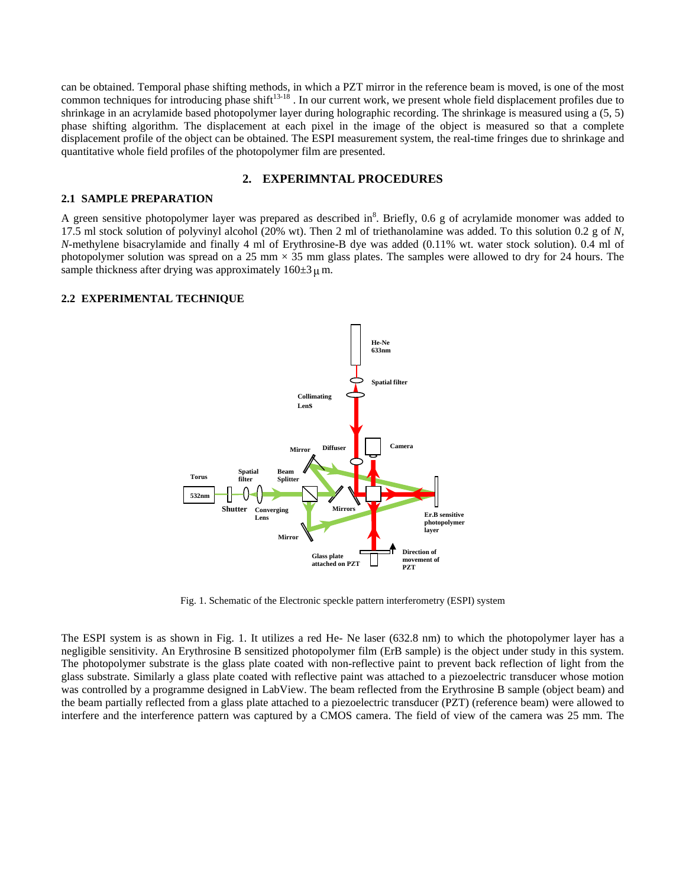can be obtained. Temporal phase shifting methods, in which a PZT mirror in the reference beam is moved, is one of the most common techniques for introducing phase shift<sup>13-18</sup>. In our current work, we present whole field displacement profiles due to shrinkage in an acrylamide based photopolymer layer during holographic recording. The shrinkage is measured using a (5, 5) phase shifting algorithm. The displacement at each pixel in the image of the object is measured so that a complete displacement profile of the object can be obtained. The ESPI measurement system, the real-time fringes due to shrinkage and quantitative whole field profiles of the photopolymer film are presented.

#### **2. EXPERIMNTAL PROCEDURES**

#### **2.1 SAMPLE PREPARATION**

A green sensitive photopolymer layer was prepared as described in<sup>8</sup>. Briefly,  $0.6$  g of acrylamide monomer was added to 17.5 ml stock solution of polyvinyl alcohol (20% wt). Then 2 ml of triethanolamine was added. To this solution 0.2 g of *N*, *N*-methylene bisacrylamide and finally 4 ml of Erythrosine-B dye was added (0.11% wt. water stock solution). 0.4 ml of photopolymer solution was spread on a 25 mm  $\times$  35 mm glass plates. The samples were allowed to dry for 24 hours. The sample thickness after drying was approximately  $160\pm3 \,\mu$  m.

## **2.2 EXPERIMENTAL TECHNIQUE**



Fig. 1. Schematic of the Electronic speckle pattern interferometry (ESPI) system

The ESPI system is as shown in Fig. 1. It utilizes a red He- Ne laser (632.8 nm) to which the photopolymer layer has a negligible sensitivity. An Erythrosine B sensitized photopolymer film (ErB sample) is the object under study in this system. The photopolymer substrate is the glass plate coated with non-reflective paint to prevent back reflection of light from the glass substrate. Similarly a glass plate coated with reflective paint was attached to a piezoelectric transducer whose motion was controlled by a programme designed in LabView. The beam reflected from the Erythrosine B sample (object beam) and the beam partially reflected from a glass plate attached to a piezoelectric transducer (PZT) (reference beam) were allowed to interfere and the interference pattern was captured by a CMOS camera. The field of view of the camera was 25 mm. The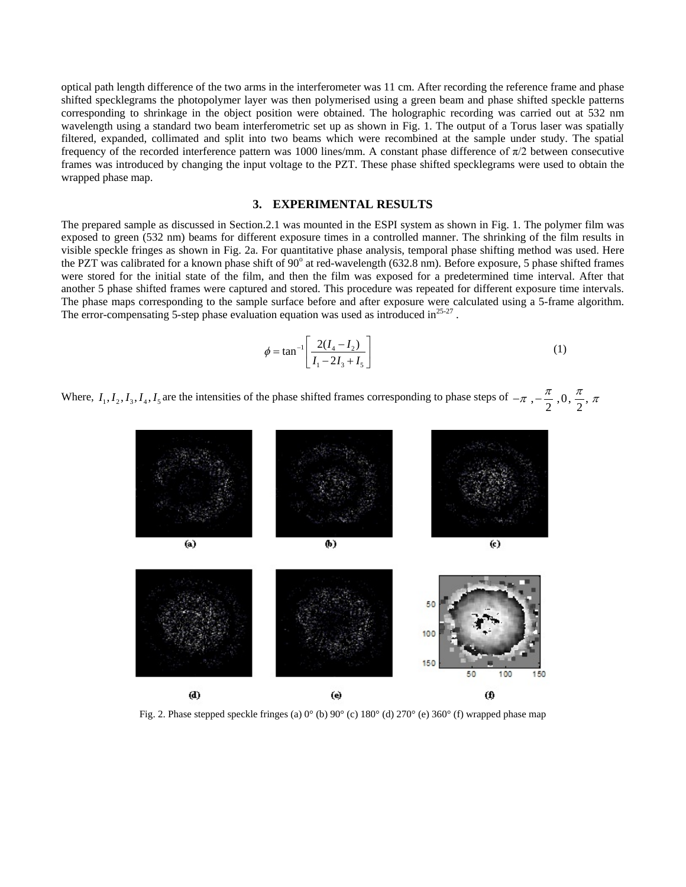optical path length difference of the two arms in the interferometer was 11 cm. After recording the reference frame and phase shifted specklegrams the photopolymer layer was then polymerised using a green beam and phase shifted speckle patterns corresponding to shrinkage in the object position were obtained. The holographic recording was carried out at 532 nm wavelength using a standard two beam interferometric set up as shown in Fig. 1. The output of a Torus laser was spatially filtered, expanded, collimated and split into two beams which were recombined at the sample under study. The spatial frequency of the recorded interference pattern was 1000 lines/mm. A constant phase difference of  $\pi/2$  between consecutive frames was introduced by changing the input voltage to the PZT. These phase shifted specklegrams were used to obtain the wrapped phase map.

#### **3. EXPERIMENTAL RESULTS**

The prepared sample as discussed in Section.2.1 was mounted in the ESPI system as shown in Fig. 1. The polymer film was exposed to green (532 nm) beams for different exposure times in a controlled manner. The shrinking of the film results in visible speckle fringes as shown in Fig. 2a. For quantitative phase analysis, temporal phase shifting method was used. Here the PZT was calibrated for a known phase shift of  $90^{\circ}$  at red-wavelength (632.8 nm). Before exposure, 5 phase shifted frames were stored for the initial state of the film, and then the film was exposed for a predetermined time interval. After that another 5 phase shifted frames were captured and stored. This procedure was repeated for different exposure time intervals. The phase maps corresponding to the sample surface before and after exposure were calculated using a 5-frame algorithm. The error-compensating 5-step phase evaluation equation was used as introduced in $^{25\text{-}27}$ .

$$
\phi = \tan^{-1} \left[ \frac{2(I_4 - I_2)}{I_1 - 2I_3 + I_5} \right] \tag{1}
$$

Where,  $I_1, I_2, I_3, I_4, I_5$  are the intensities of the phase shifted frames corresponding to phase steps of  $-\pi$ ,  $-\frac{\pi}{2}$ ,  $0, \frac{\pi}{2}$ ,  $\pi$ 



Fig. 2. Phase stepped speckle fringes (a) 0° (b) 90° (c) 180° (d) 270° (e) 360° (f) wrapped phase map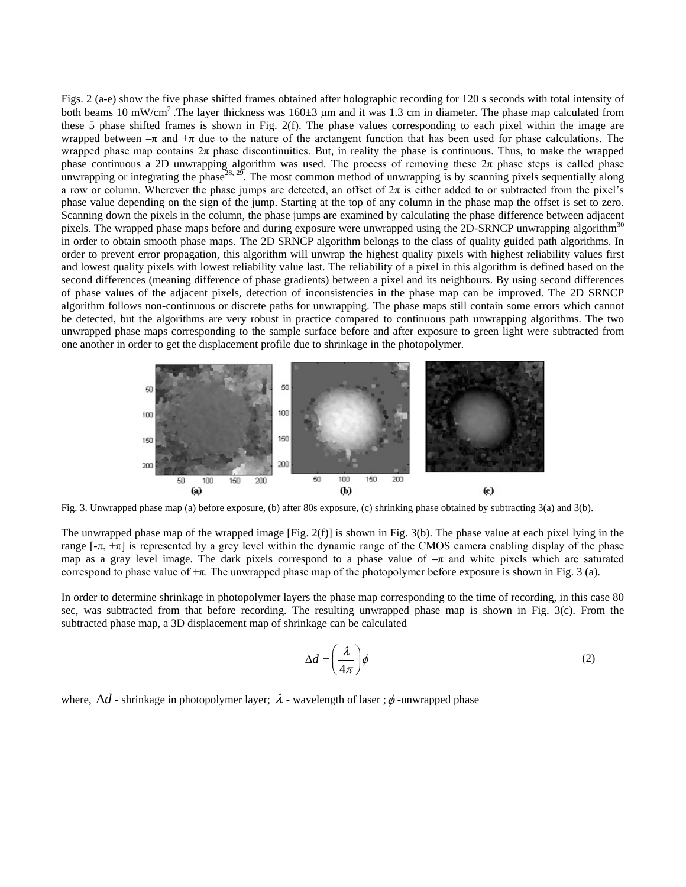Figs. 2 (a-e) show the five phase shifted frames obtained after holographic recording for 120 s seconds with total intensity of both beams 10 mW/cm<sup>2</sup>. The layer thickness was 160 $\pm$ 3 µm and it was 1.3 cm in diameter. The phase map calculated from these 5 phase shifted frames is shown in Fig. 2(f). The phase values corresponding to each pixel within the image are wrapped between  $-\pi$  and  $+\pi$  due to the nature of the arctangent function that has been used for phase calculations. The wrapped phase map contains  $2\pi$  phase discontinuities. But, in reality the phase is continuous. Thus, to make the wrapped phase continuous a 2D unwrapping algorithm was used. The process of removing these  $2\pi$  phase steps is called phase unwrapping or integrating the phase<sup>28, 29</sup>. The most common method of unwrapping is by scanning pixels sequentially along a row or column. Wherever the phase jumps are detected, an offset of  $2\pi$  is either added to or subtracted from the pixel's phase value depending on the sign of the jump. Starting at the top of any column in the phase map the offset is set to zero. Scanning down the pixels in the column, the phase jumps are examined by calculating the phase difference between adjacent pixels. The wrapped phase maps before and during exposure were unwrapped using the 2D-SRNCP unwrapping algorithm<sup>30</sup> in order to obtain smooth phase maps. The 2D SRNCP algorithm belongs to the class of quality guided path algorithms. In order to prevent error propagation, this algorithm will unwrap the highest quality pixels with highest reliability values first and lowest quality pixels with lowest reliability value last. The reliability of a pixel in this algorithm is defined based on the second differences (meaning difference of phase gradients) between a pixel and its neighbours. By using second differences of phase values of the adjacent pixels, detection of inconsistencies in the phase map can be improved. The 2D SRNCP algorithm follows non-continuous or discrete paths for unwrapping. The phase maps still contain some errors which cannot be detected, but the algorithms are very robust in practice compared to continuous path unwrapping algorithms. The two unwrapped phase maps corresponding to the sample surface before and after exposure to green light were subtracted from one another in order to get the displacement profile due to shrinkage in the photopolymer.



Fig. 3. Unwrapped phase map (a) before exposure, (b) after 80s exposure, (c) shrinking phase obtained by subtracting 3(a) and 3(b).

The unwrapped phase map of the wrapped image [Fig. 2(f)] is shown in Fig. 3(b). The phase value at each pixel lying in the range  $[-\pi, +\pi]$  is represented by a grey level within the dynamic range of the CMOS camera enabling display of the phase map as a gray level image. The dark pixels correspond to a phase value of  $-\pi$  and white pixels which are saturated correspond to phase value of  $+\pi$ . The unwrapped phase map of the photopolymer before exposure is shown in Fig. 3 (a).

In order to determine shrinkage in photopolymer layers the phase map corresponding to the time of recording, in this case 80 sec, was subtracted from that before recording. The resulting unwrapped phase map is shown in Fig. 3(c). From the subtracted phase map, a 3D displacement map of shrinkage can be calculated

$$
\Delta d = \left(\frac{\lambda}{4\pi}\right)\phi\tag{2}
$$

where,  $\Delta d$  - shrinkage in photopolymer layer;  $\lambda$  - wavelength of laser ;  $\phi$  -unwrapped phase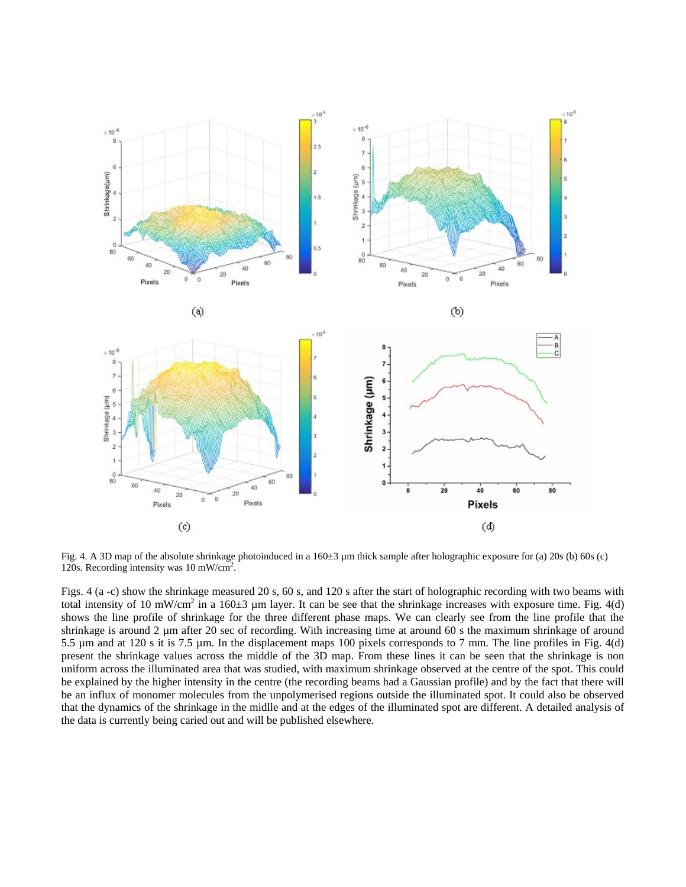

Fig. 4. A 3D map of the absolute shrinkage photoinduced in a  $160\pm3$  µm thick sample after holographic exposure for (a) 20s (b) 60s (c) 120s. Recording intensity was 10 mW/cm2 .

Figs. 4 (a -c) show the shrinkage measured 20 s, 60 s, and 120 s after the start of holographic recording with two beams with total intensity of 10 mW/cm<sup>2</sup> in a 160 $\pm$ 3 µm layer. It can be see that the shrinkage increases with exposure time. Fig. 4(d) shows the line profile of shrinkage for the three different phase maps. We can clearly see from the line profile that the shrinkage is around 2 µm after 20 sec of recording. With increasing time at around 60 s the maximum shrinkage of around 5.5 µm and at 120 s it is 7.5 µm. In the displacement maps 100 pixels corresponds to 7 mm. The line profiles in Fig. 4(d) present the shrinkage values across the middle of the 3D map. From these lines it can be seen that the shrinkage is non uniform across the illuminated area that was studied, with maximum shrinkage observed at the centre of the spot. This could be explained by the higher intensity in the centre (the recording beams had a Gaussian profile) and by the fact that there will be an influx of monomer molecules from the unpolymerised regions outside the illuminated spot. It could also be observed that the dynamics of the shrinkage in the midlle and at the edges of the illuminated spot are different. A detailed analysis of the data is currently being caried out and will be published elsewhere.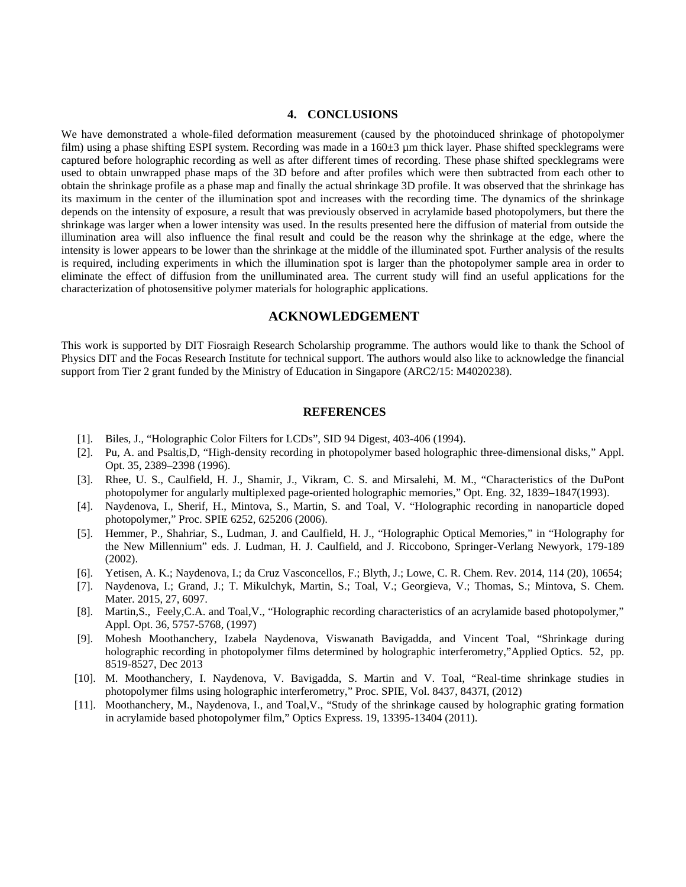#### **4. CONCLUSIONS**

We have demonstrated a whole-filed deformation measurement (caused by the photoinduced shrinkage of photopolymer film) using a phase shifting ESPI system. Recording was made in a 160 $\pm$ 3 µm thick layer. Phase shifted specklegrams were captured before holographic recording as well as after different times of recording. These phase shifted specklegrams were used to obtain unwrapped phase maps of the 3D before and after profiles which were then subtracted from each other to obtain the shrinkage profile as a phase map and finally the actual shrinkage 3D profile. It was observed that the shrinkage has its maximum in the center of the illumination spot and increases with the recording time. The dynamics of the shrinkage depends on the intensity of exposure, a result that was previously observed in acrylamide based photopolymers, but there the shrinkage was larger when a lower intensity was used. In the results presented here the diffusion of material from outside the illumination area will also influence the final result and could be the reason why the shrinkage at the edge, where the intensity is lower appears to be lower than the shrinkage at the middle of the illuminated spot. Further analysis of the results is required, including experiments in which the illumination spot is larger than the photopolymer sample area in order to eliminate the effect of diffusion from the unilluminated area. The current study will find an useful applications for the characterization of photosensitive polymer materials for holographic applications.

## **ACKNOWLEDGEMENT**

This work is supported by DIT Fiosraigh Research Scholarship programme. The authors would like to thank the School of Physics DIT and the Focas Research Institute for technical support. The authors would also like to acknowledge the financial support from Tier 2 grant funded by the Ministry of Education in Singapore (ARC2/15: M4020238).

#### **REFERENCES**

- [1]. Biles, J., "Holographic Color Filters for LCDs", SID 94 Digest, 403-406 (1994).
- [2]. Pu, A. and Psaltis,D, "High-density recording in photopolymer based holographic three-dimensional disks," Appl. Opt. 35, 2389–2398 (1996).
- [3]. Rhee, U. S., Caulfield, H. J., Shamir, J., Vikram, C. S. and Mirsalehi, M. M., "Characteristics of the DuPont photopolymer for angularly multiplexed page-oriented holographic memories," Opt. Eng. 32, 1839–1847(1993).
- [4]. Naydenova, I., Sherif, H., Mintova, S., Martin, S. and Toal, V. "Holographic recording in nanoparticle doped photopolymer," Proc. SPIE 6252, 625206 (2006).
- [5]. Hemmer, P., Shahriar, S., Ludman, J. and Caulfield, H. J., "Holographic Optical Memories," in "Holography for the New Millennium" eds. J. Ludman, H. J. Caulfield, and J. Riccobono, Springer-Verlang Newyork, 179-189 (2002).
- [6]. Yetisen, A. K.; Naydenova, I.; da Cruz Vasconcellos, F.; Blyth, J.; Lowe, C. R. Chem. Rev. 2014, 114 (20), 10654;
- [7]. Naydenova, I.; Grand, J.; T. Mikulchyk, Martin, S.; Toal, V.; Georgieva, V.; Thomas, S.; Mintova, S. Chem. Mater. 2015, 27, 6097.
- [8]. Martin,S., Feely,C.A. and Toal,V., "Holographic recording characteristics of an acrylamide based photopolymer," Appl. Opt. 36, 5757-5768, (1997)
- [9]. Mohesh Moothanchery, Izabela Naydenova, Viswanath Bavigadda, and Vincent Toal, "Shrinkage during holographic recording in photopolymer films determined by holographic interferometry,"Applied Optics. 52, pp. 8519-8527, Dec 2013
- [10]. M. Moothanchery, I. Naydenova, V. Bavigadda, S. Martin and V. Toal, "Real-time shrinkage studies in photopolymer films using holographic interferometry," Proc. SPIE, Vol. 8437, 8437I, (2012)
- [11]. Moothanchery, M., Naydenova, I., and Toal,V., "Study of the shrinkage caused by holographic grating formation in acrylamide based photopolymer film," Optics Express. 19, 13395-13404 (2011).